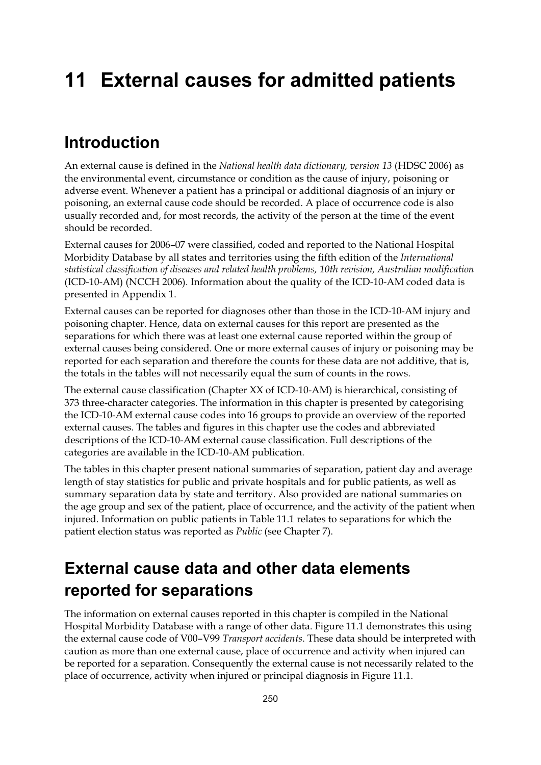# **11 External causes for admitted patients**

#### **Introduction**

An external cause is defined in the *National health data dictionary, version 13* (HDSC 2006) as the environmental event, circumstance or condition as the cause of injury, poisoning or adverse event. Whenever a patient has a principal or additional diagnosis of an injury or poisoning, an external cause code should be recorded. A place of occurrence code is also usually recorded and, for most records, the activity of the person at the time of the event should be recorded.

External causes for 2006–07 were classified, coded and reported to the National Hospital Morbidity Database by all states and territories using the fifth edition of the *International statistical classification of diseases and related health problems, 10th revision, Australian modification* (ICD-10-AM) (NCCH 2006). Information about the quality of the ICD-10-AM coded data is presented in Appendix 1.

External causes can be reported for diagnoses other than those in the ICD-10-AM injury and poisoning chapter. Hence, data on external causes for this report are presented as the separations for which there was at least one external cause reported within the group of external causes being considered. One or more external causes of injury or poisoning may be reported for each separation and therefore the counts for these data are not additive, that is, the totals in the tables will not necessarily equal the sum of counts in the rows.

The external cause classification (Chapter XX of ICD-10-AM) is hierarchical, consisting of 373 three-character categories. The information in this chapter is presented by categorising the ICD-10-AM external cause codes into 16 groups to provide an overview of the reported external causes. The tables and figures in this chapter use the codes and abbreviated descriptions of the ICD-10-AM external cause classification. Full descriptions of the categories are available in the ICD-10-AM publication.

The tables in this chapter present national summaries of separation, patient day and average length of stay statistics for public and private hospitals and for public patients, as well as summary separation data by state and territory. Also provided are national summaries on the age group and sex of the patient, place of occurrence, and the activity of the patient when injured. Information on public patients in Table 11.1 relates to separations for which the patient election status was reported as *Public* (see Chapter 7).

### **External cause data and other data elements reported for separations**

The information on external causes reported in this chapter is compiled in the National Hospital Morbidity Database with a range of other data. Figure 11.1 demonstrates this using the external cause code of V00–V99 *Transport accidents*. These data should be interpreted with caution as more than one external cause, place of occurrence and activity when injured can be reported for a separation. Consequently the external cause is not necessarily related to the place of occurrence, activity when injured or principal diagnosis in Figure 11.1.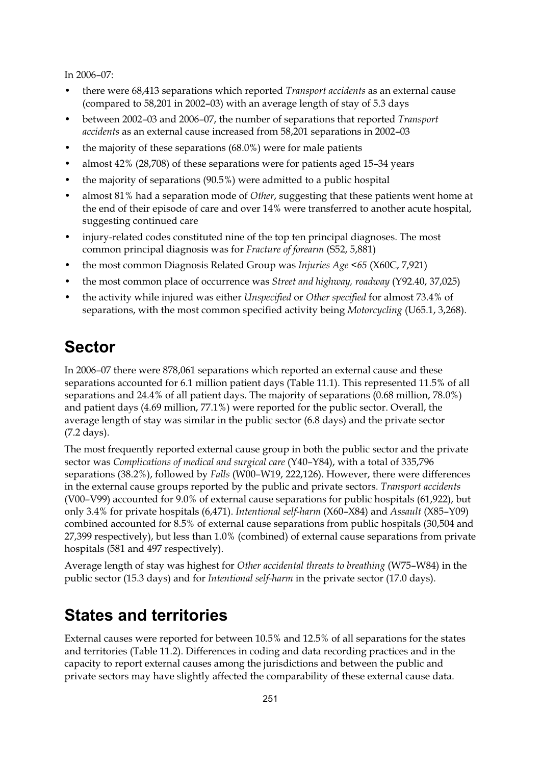In 2006–07:

- there were 68,413 separations which reported *Transport accidents* as an external cause (compared to 58,201 in 2002–03) with an average length of stay of 5.3 days
- between 2002–03 and 2006–07, the number of separations that reported *Transport accidents* as an external cause increased from 58,201 separations in 2002–03
- the majority of these separations  $(68.0\%)$  were for male patients
- almost 42% (28,708) of these separations were for patients aged 15–34 years
- the majority of separations (90.5%) were admitted to a public hospital
- almost 81% had a separation mode of *Other*, suggesting that these patients went home at the end of their episode of care and over 14% were transferred to another acute hospital, suggesting continued care
- injury-related codes constituted nine of the top ten principal diagnoses. The most common principal diagnosis was for *Fracture of forearm* (S52, 5,881)
- the most common Diagnosis Related Group was *Injuries Age <65* (X60C, 7,921)
- the most common place of occurrence was *Street and highway, roadway* (Y92.40, 37,025)
- the activity while injured was either *Unspecified* or *Other specified* for almost 73.4% of separations, with the most common specified activity being *Motorcycling* (U65.1, 3,268).

### **Sector**

In 2006–07 there were 878,061 separations which reported an external cause and these separations accounted for 6.1 million patient days (Table 11.1). This represented 11.5% of all separations and 24.4% of all patient days. The majority of separations (0.68 million, 78.0%) and patient days (4.69 million, 77.1%) were reported for the public sector. Overall, the average length of stay was similar in the public sector (6.8 days) and the private sector (7.2 days).

The most frequently reported external cause group in both the public sector and the private sector was *Complications of medical and surgical care* (Y40–Y84), with a total of 335,796 separations (38.2%), followed by *Falls* (W00–W19, 222,126). However, there were differences in the external cause groups reported by the public and private sectors. *Transport accidents* (V00–V99) accounted for 9.0% of external cause separations for public hospitals (61,922), but only 3.4% for private hospitals (6,471). *Intentional self-harm* (X60–X84) and *Assault* (X85–Y09) combined accounted for 8.5% of external cause separations from public hospitals (30,504 and 27,399 respectively), but less than 1.0% (combined) of external cause separations from private hospitals (581 and 497 respectively).

Average length of stay was highest for *Other accidental threats to breathing* (W75–W84) in the public sector (15.3 days) and for *Intentional self-harm* in the private sector (17.0 days).

#### **States and territories**

External causes were reported for between 10.5% and 12.5% of all separations for the states and territories (Table 11.2). Differences in coding and data recording practices and in the capacity to report external causes among the jurisdictions and between the public and private sectors may have slightly affected the comparability of these external cause data.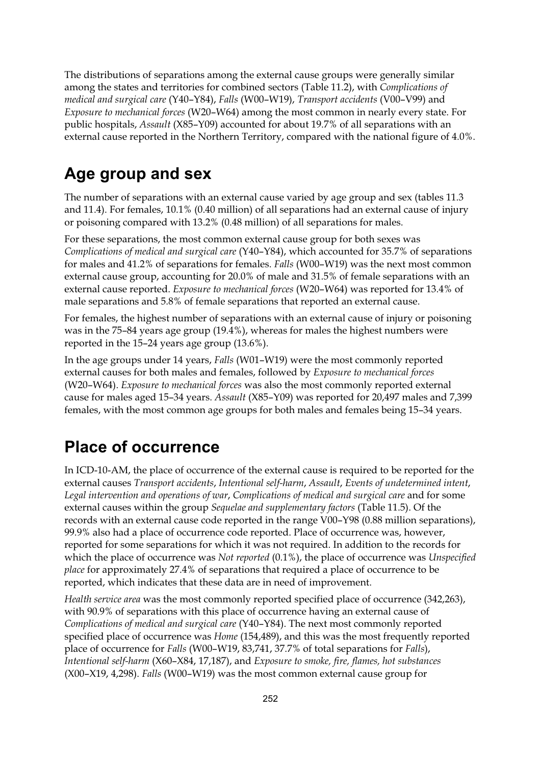The distributions of separations among the external cause groups were generally similar among the states and territories for combined sectors (Table 11.2), with *Complications of medical and surgical care* (Y40–Y84), *Falls* (W00–W19), *Transport accidents* (V00–V99) and *Exposure to mechanical forces* (W20–W64) among the most common in nearly every state. For public hospitals, *Assault* (X85–Y09) accounted for about 19.7% of all separations with an external cause reported in the Northern Territory, compared with the national figure of 4.0%.

### **Age group and sex**

The number of separations with an external cause varied by age group and sex (tables 11.3 and 11.4). For females, 10.1% (0.40 million) of all separations had an external cause of injury or poisoning compared with 13.2% (0.48 million) of all separations for males.

For these separations, the most common external cause group for both sexes was *Complications of medical and surgical care* (Y40–Y84), which accounted for 35.7% of separations for males and 41.2% of separations for females. *Falls* (W00–W19) was the next most common external cause group, accounting for 20.0% of male and 31.5% of female separations with an external cause reported. *Exposure to mechanical forces* (W20–W64) was reported for 13.4% of male separations and 5.8% of female separations that reported an external cause.

For females, the highest number of separations with an external cause of injury or poisoning was in the 75–84 years age group (19.4%), whereas for males the highest numbers were reported in the 15–24 years age group (13.6%).

In the age groups under 14 years, *Falls* (W01–W19) were the most commonly reported external causes for both males and females, followed by *Exposure to mechanical forces* (W20–W64). *Exposure to mechanical forces* was also the most commonly reported external cause for males aged 15–34 years. *Assault* (X85–Y09) was reported for 20,497 males and 7,399 females, with the most common age groups for both males and females being 15–34 years.

## **Place of occurrence**

In ICD-10-AM, the place of occurrence of the external cause is required to be reported for the external causes *Transport accidents*, *Intentional self-harm*, *Assault*, *Events of undetermined intent*, *Legal intervention and operations of war*, *Complications of medical and surgical care* and for some external causes within the group *Sequelae and supplementary factors* (Table 11.5). Of the records with an external cause code reported in the range V00–Y98 (0.88 million separations), 99.9% also had a place of occurrence code reported. Place of occurrence was, however, reported for some separations for which it was not required. In addition to the records for which the place of occurrence was *Not reported* (0.1%), the place of occurrence was *Unspecified place* for approximately 27.4% of separations that required a place of occurrence to be reported, which indicates that these data are in need of improvement.

*Health service area* was the most commonly reported specified place of occurrence (342,263), with 90.9% of separations with this place of occurrence having an external cause of *Complications of medical and surgical care* (Y40–Y84). The next most commonly reported specified place of occurrence was *Home* (154,489), and this was the most frequently reported place of occurrence for *Falls* (W00–W19, 83,741, 37.7% of total separations for *Falls*), *Intentional self-harm* (X60–X84, 17,187), and *Exposure to smoke, fire, flames, hot substances* (X00–X19, 4,298). *Falls* (W00–W19) was the most common external cause group for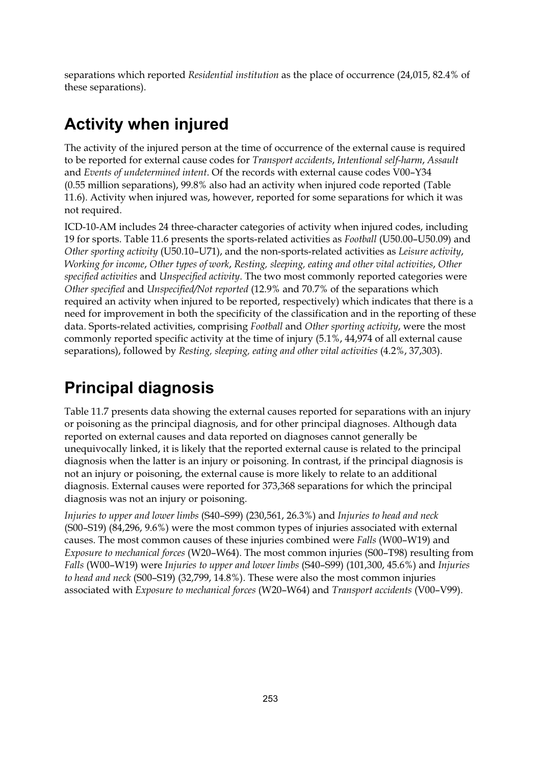separations which reported *Residential institution* as the place of occurrence (24,015, 82.4% of these separations).

### **Activity when injured**

The activity of the injured person at the time of occurrence of the external cause is required to be reported for external cause codes for *Transport accidents*, *Intentional self-harm*, *Assault* and *Events of undetermined intent*. Of the records with external cause codes V00–Y34 (0.55 million separations), 99.8% also had an activity when injured code reported (Table 11.6). Activity when injured was, however, reported for some separations for which it was not required.

ICD-10-AM includes 24 three-character categories of activity when injured codes, including 19 for sports. Table 11.6 presents the sports-related activities as *Football* (U50.00–U50.09) and *Other sporting activity* (U50.10–U71), and the non-sports-related activities as *Leisure activity*, *Working for income*, *Other types of work*, *Resting, sleeping, eating and other vital activities*, *Other specified activities* and *Unspecified activity*. The two most commonly reported categories were *Other specified* and *Unspecified/Not reported* (12.9% and 70.7% of the separations which required an activity when injured to be reported, respectively) which indicates that there is a need for improvement in both the specificity of the classification and in the reporting of these data. Sports-related activities, comprising *Football* and *Other sporting activity*, were the most commonly reported specific activity at the time of injury (5.1%, 44,974 of all external cause separations), followed by *Resting, sleeping, eating and other vital activities* (4.2%, 37,303).

### **Principal diagnosis**

Table 11.7 presents data showing the external causes reported for separations with an injury or poisoning as the principal diagnosis, and for other principal diagnoses. Although data reported on external causes and data reported on diagnoses cannot generally be unequivocally linked, it is likely that the reported external cause is related to the principal diagnosis when the latter is an injury or poisoning. In contrast, if the principal diagnosis is not an injury or poisoning, the external cause is more likely to relate to an additional diagnosis. External causes were reported for 373,368 separations for which the principal diagnosis was not an injury or poisoning.

*Injuries to upper and lower limbs* (S40–S99) (230,561, 26.3%) and *Injuries to head and neck* (S00–S19) (84,296, 9.6%) were the most common types of injuries associated with external causes. The most common causes of these injuries combined were *Falls* (W00–W19) and *Exposure to mechanical forces* (W20–W64). The most common injuries (S00–T98) resulting from *Falls* (W00–W19) were *Injuries to upper and lower limbs* (S40–S99) (101,300, 45.6%) and *Injuries to head and neck* (S00–S19) (32,799, 14.8%). These were also the most common injuries associated with *Exposure to mechanical forces* (W20–W64) and *Transport accidents* (V00–V99).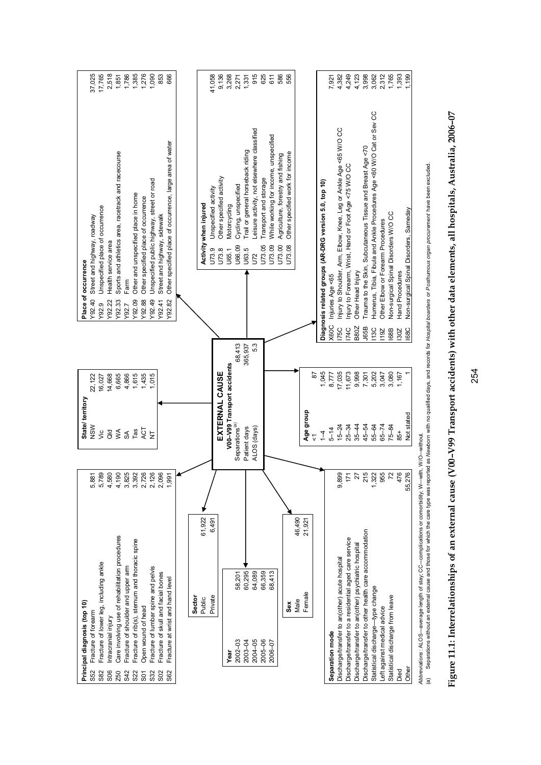| Principal diagnosis (top 10)                                 |                         | State/territory             |         |             | Place of occurrence |                                                                       |        |
|--------------------------------------------------------------|-------------------------|-----------------------------|---------|-------------|---------------------|-----------------------------------------------------------------------|--------|
| Fracture of forearm<br>S52                                   | 5,881                   | NSW                         | 22,122  |             | Y92.40              | Street and highway, roadway                                           | 37,025 |
|                                                              |                         |                             |         |             |                     |                                                                       |        |
| Fracture of lower leg, including ankle<br>S82                | 5,789<br>4,580          | yic                         | 16,027  |             | Y92.9               | Unspecified place of occurrence                                       | 17,765 |
| ntracranial injury<br><b>SO6</b>                             |                         | $\overline{d}$              | 14,668  |             | Y92.22              | Health service area                                                   | 2,518  |
| Care involving use of rehabilitation procedures<br>Z50       | 4,190                   | $\leq$                      | 6,665   |             | Y92.33              | Sports and athletics area, racetrack and racecourse                   | 1,851  |
| Fracture of shoulder and upper am<br>S42                     | 3,825                   | SA                          | 4,866   |             | Farm<br>Y92.7       |                                                                       | 1,786  |
| Fracture of rib(s), sternum and thoracic spine<br><b>S22</b> |                         | Tas                         | 1,615   |             | Y92.09              | Other and unspecified place in home                                   | 1,385  |
| Open wound of head<br>S <sub>0</sub>                         | 3,392<br>2,726<br>2,126 | ACT                         | 1,435   |             | Y92.88              | Other specified place of occurrence                                   | 1,276  |
| Fracture of lumbar spine and pelvis<br>S32                   |                         | $\overline{z}$              | 1,015   |             | Y92.49              | Unspecified public highway, street or road                            | 1,090  |
|                                                              |                         |                             |         |             |                     |                                                                       |        |
| Fracture of skull and facial bones<br>S <sub>02</sub>        | 2,096                   |                             |         |             | Y92.41              | Street and highway, sidewalk                                          | 853    |
| Fracture at wrist and hand level<br>S62                      | 1,99                    |                             |         |             | Y92.82              | Other specified place of occurrence, large area of water              | 666    |
|                                                              |                         |                             |         |             |                     |                                                                       |        |
| Sector                                                       |                         |                             |         |             |                     |                                                                       |        |
| Public                                                       |                         |                             |         |             |                     |                                                                       |        |
| 61,922                                                       |                         |                             |         |             |                     | Activity when injured                                                 |        |
| 6,491<br>Private                                             |                         |                             |         |             |                     | Unspecified activity<br>U73.9                                         | 41,058 |
|                                                              |                         | EXTERNAL CAUSE              |         |             |                     | Other specified activity<br>U73.8                                     | 9,136  |
| Year                                                         |                         | V00-V99 Transport accidents |         |             |                     | Motorcycling<br>U65.1                                                 | 3,268  |
| 58,201<br>$2002 - 03$                                        |                         | Separations <sup>(a)</sup>  | 68,413  |             |                     | Cycling, unspecified<br>U66.09                                        | 2,271  |
| 60,295<br>2003-04                                            |                         | Patient days                | 365,937 |             |                     | Trail or general horseback riding<br>U63.5                            | 1,331  |
| 64,089<br>$2004 - 05$                                        |                         | ALOS (days)                 | 5.3     |             |                     | Leisure activity, not elsewhere classified<br>57                      | 915    |
| 66,359<br>$2005 - 06$                                        |                         |                             |         |             |                     | Transport and storage<br>U73.05                                       | 625    |
| $2006 - 07$                                                  |                         |                             |         |             |                     | U73.09                                                                | 611    |
| 68,413                                                       |                         |                             |         |             |                     | While working for income, unspecified                                 |        |
|                                                              |                         |                             |         |             |                     | Agriculture, forestry and fishing<br>U73.00                           | 586    |
| Sex                                                          |                         |                             |         |             |                     | Other specified work for income<br>J73.08                             | 556    |
| 46,490<br>Male                                               |                         |                             |         |             |                     |                                                                       |        |
| 21,921<br>Female                                             |                         | Age group                   |         |             |                     |                                                                       |        |
|                                                              |                         | $\overline{\mathbf{v}}$     | 52      |             |                     |                                                                       |        |
|                                                              |                         | $\overline{4}$              | 1,045   |             |                     | Diagnosis related groups (AR-DRG version 5.0, top 10)                 |        |
| Separation mode                                              |                         | $5 - 14$                    | 8,777   | <b>X60C</b> | njuries Age <65     |                                                                       | 7,921  |
| Discharge/transfer to an(other) acute hospital               | 9,899                   | $15 - 24$                   | 17,035  | <b>175C</b> |                     | njury to Shoulder, Arm, Elbow, Knee, Leg or Ankle Age <65 W/O CC      | 4,382  |
| Discharge/transfer to a residential aged care service        | 171                     | $25 - 34$                   | 11,673  | <b>174C</b> |                     | Injury to Forearm, Wrist, Hand or Foot Age <75 W/O CC                 | 4,249  |
| Discharge/transfer to an(other) psychiatric hospital         | $\overline{27}$         | $35 - 44$                   | 9,998   | B80Z        | Other Head Injury   |                                                                       | 4,123  |
| Discharge/transfer to other health care accommodation        |                         | 45-54                       | 7,301   | J65B        |                     | rauma to the Skin, Subcutaneous Tissue and Breast Age <70             | 3,998  |
| Statistical discharge-type change                            | 215<br>1,322<br>955     | 55-64                       | 5,202   | <b>13C</b>  |                     | Humerus, Tibia, Fibula and Ankle Procedures Age <60 W/O Cat or Sev CC | 3,062  |
| Left against medical advice                                  |                         | $65 - 74$                   | 3,047   | 19Z         |                     | Other Elbow or Forearm Procedures                                     | 2,312  |
| Statistical discharge from leave                             | $72$                    | $75 - 84$                   | 3,080   | <b>168B</b> |                     | Non-surgical Spinal Disorders W/O CC                                  | 1,765  |
| Died                                                         | 476                     | 85+                         | 1,167   | 130Z        | Hand Procedures     |                                                                       | 1,393  |
| Other                                                        | $\circ$<br>55,27        | Not stated                  |         | 168C        |                     | Non-surgical Spinal Disorders, Sameday                                | l,199  |
|                                                              |                         |                             |         |             |                     |                                                                       |        |

 *Abbreviations* : ALOS—average length of stay; CC–-complications or comorbidity; W–-with, W/O–-without.

Abbreviations : ALOS—average length of stay, CC—complications or comorbidity, W—with, W/O—without.<br>(a) Separations without an external cause and those for which the care type was reported as Wewborn with no qualified days, (a) Separations without an external cause and those for which the care type was reported as Newborn with no qualified days, and records for Hospital boarders or Posthumous organ procurement have been excluded.

Figure 11.1: Interrelationships of an external cause (V00-V99 Transport accidents) with other data elements, all hospitals, Australia, 2006-07 **Figure 11.1: Interrelationships of an external cause (V00–V99 Transport accidents) with other data elements, all hospitals, Australia, 2006–07**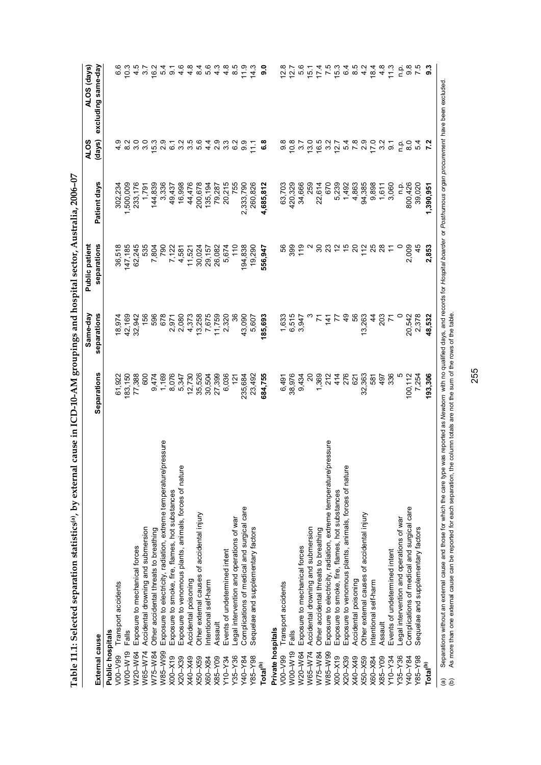|                                         |                                                                                                                                                                                                                                                                                                                                                  |               | Same-day      | <b>Public patient</b>      |              | <b>ALOS</b>     | ALOS (days)        |
|-----------------------------------------|--------------------------------------------------------------------------------------------------------------------------------------------------------------------------------------------------------------------------------------------------------------------------------------------------------------------------------------------------|---------------|---------------|----------------------------|--------------|-----------------|--------------------|
| External cause                          |                                                                                                                                                                                                                                                                                                                                                  | Separations   | separations   | separations                | Patient days | (days)          | excluding same-day |
| Public hospitals                        |                                                                                                                                                                                                                                                                                                                                                  |               |               |                            |              |                 |                    |
| V00-V99                                 | Transport accidents                                                                                                                                                                                                                                                                                                                              | 61,922        | 18,974        | 36,518                     | 302,234      |                 | စ<br>စ             |
| W00-W19                                 | <b>Falls</b>                                                                                                                                                                                                                                                                                                                                     | 183,150       | 42,169        | 147,185                    | 1,500,009    | $\frac{8}{2}$   | 10.3               |
| W20-W64                                 | Exposure to mechanical forces                                                                                                                                                                                                                                                                                                                    | 77,388        | 32,942        | 62,245                     | 233,176      | $\frac{0}{3}$   | 4.5                |
| W65-W74                                 | Accidental drowning and submersion                                                                                                                                                                                                                                                                                                               | 600           | 156           | 535                        | 1,791        | 3.0             | 3.7                |
| W75-W84                                 | Other accidental threats to breathing                                                                                                                                                                                                                                                                                                            | 9,474         | 596           | 7,804                      | 144,839      | 15.3            | 16.2               |
| W85-W99                                 | pressure<br>Exposure to electricity, radiation, extreme temperature.                                                                                                                                                                                                                                                                             | 1,169         | 678           | 790                        | 3,336        | $\frac{8}{2}$   | 5.4                |
| $X00-X19$                               | Exposure to smoke, fire, flames, hot substances                                                                                                                                                                                                                                                                                                  | 8,076         | 2,971         | 7,122                      | 49,437       | 67              | $\overline{5}$     |
| $X20 - X39$                             | Φ<br>Exposure to venomous plants, animals, forces of natur                                                                                                                                                                                                                                                                                       | 5,347         | 2,080         | 4,581                      | 16,998       | $\frac{2}{3}$   | $4.\overline{6}$   |
| <b>67X-04X</b>                          | Accidental poisoning                                                                                                                                                                                                                                                                                                                             | 12,730        | 4,373         | 11,521                     | 44,476       | 35              | 4.8                |
| $X50 - X59$                             | Other external causes of accidental injury                                                                                                                                                                                                                                                                                                       | 35,526        | 13,258        | 30,024                     | 200,678      | 5.6             | 8.4                |
| X60-X84                                 | ntentional self-harm                                                                                                                                                                                                                                                                                                                             | 30,504        | 7,675         | 29,157                     | 135,194      | $4\overline{4}$ | 5.6                |
| X85-Y09                                 | Assault                                                                                                                                                                                                                                                                                                                                          | 27,399        | 11,759        | 26,082                     | 79,287       | 2.9             | 4.3                |
| 10–∧אל                                  | Events of undetermined intent                                                                                                                                                                                                                                                                                                                    | 6,036         | 2,320         | 5,674                      | 20,215       | ಼               | 4.8                |
| $Y35 - Y36$                             | egal intervention and operations of war                                                                                                                                                                                                                                                                                                          | $\frac{5}{2}$ | 36            | 110                        | 755          | °S              | 8.5                |
| Y40-Y84                                 | Complications of medical and surgical care                                                                                                                                                                                                                                                                                                       | 235,684       | 43,090        | 194,838                    | 2,333,790    | 9.9             | $\frac{0}{1}$      |
| $Y85 - Y98$                             | Sequelae and supplementary factors                                                                                                                                                                                                                                                                                                               | 23,492        | 5,607         | 19,290                     | 260,826      | $\frac{1}{2}$   | 14.3               |
| Total <sup>(b)</sup>                    |                                                                                                                                                                                                                                                                                                                                                  | 684,755       | 185,693       | 556,947                    | 4,685,812    | 6.8             | 0.6                |
| Private hospitals                       |                                                                                                                                                                                                                                                                                                                                                  |               |               |                            |              |                 |                    |
| V00-V99                                 | Transport accidents                                                                                                                                                                                                                                                                                                                              | 6,491         | 1,633         | 8                          | 63,703       | 9.8             | 12.8               |
| W00-W19                                 | Falls                                                                                                                                                                                                                                                                                                                                            | 38,976        | 6,515         | 399                        | 420,329      | 10.8            | 12.7               |
| W20-W64                                 | Exposure to mechanical forces                                                                                                                                                                                                                                                                                                                    | 9,434         | 3,947         | 119                        | 34,666       | $\frac{27}{3}$  | 5.6                |
| W65-W74                                 | Accidental drowning and submersion                                                                                                                                                                                                                                                                                                               | $\approx$     |               |                            | 259          | 13.0            | $\frac{15}{10}$    |
| W75-W84                                 | Other accidental threats to breathing                                                                                                                                                                                                                                                                                                            | 1,369         |               | $\boldsymbol{\mathcal{S}}$ | 22,614       | 16.5            | 17.4               |
| W85-W99                                 | pressure<br>Exposure to electricity, radiation, extreme temperature,                                                                                                                                                                                                                                                                             | 212           | 141           | 23                         | 670          | 3.2             | 7.5                |
| K00-X19                                 | Exposure to smoke, fire, flames, hot substances                                                                                                                                                                                                                                                                                                  | 414           | 77            | $\tilde{c}$                | 5,239        | 12.7            | 15.3               |
| $X20 - X39$                             | Φ<br>Exposure to venomous plants, animals, forces of natur                                                                                                                                                                                                                                                                                       | 276           | $\frac{9}{4}$ | $\frac{1}{2}$              | 1,492        |                 | 6.4                |
| K40-X49                                 | Accidental poisoning                                                                                                                                                                                                                                                                                                                             | 621           | 56            | $\overline{\mathcal{S}}$   | 4,863        |                 | 8.5                |
| X50-X59                                 | Other external causes of accidental injury                                                                                                                                                                                                                                                                                                       | 32,363        | 13,263        | 112                        | 94,385       |                 | 4.2                |
| X60-X84                                 | ntentional self-harm                                                                                                                                                                                                                                                                                                                             | 581           | 4             | 25                         | 9,898        | 17.0            | 18.4               |
| $88 - Y09$                              | Assault                                                                                                                                                                                                                                                                                                                                          | 497           | 203           | $^{28}$                    | 1,611        | 3.2             | $4.\overline{8}$   |
| $R$ $A$ -01 $A$                         | Events of undetermined intent                                                                                                                                                                                                                                                                                                                    | 336           |               |                            | 3,060        | $\overline{5}$  | 11.3               |
| $Y35 - Y36$                             | -egal intervention and operations of war                                                                                                                                                                                                                                                                                                         |               |               |                            | n.p.         | ρ.<br>Π         | ن<br>ء             |
| Y40-Y84                                 | Complications of medical and surgical care                                                                                                                                                                                                                                                                                                       | 100,112       | 20,542        | 2,009                      | 800,426      | $\frac{0}{8}$   | 9.8                |
| $Y85 - Y98$                             | Sequelae and supplementary factors                                                                                                                                                                                                                                                                                                               | 7,254         | 2,378         | 45                         | 39,020       | 54              | 7.5                |
| Total <sup>(b)</sup>                    |                                                                                                                                                                                                                                                                                                                                                  | 193,306       | 48,532        | 2,853                      | 1,390,951    | 7.2             | 9.3                |
| $\widehat{\mathbf{e}}$<br>$\widehat{e}$ | Separations without an external cause and those for which the care type was reported as Newborn with no qualified days, and records for Hospital boarder or Posthurnous organ procurement have been excluded<br>As more than one external cause can be reported for each separation, the column totals are not the sum of the rows of the table. |               |               |                            |              |                 |                    |

Table 11.1: Selected separation statistics(a), by external cause in ICD-10-AM groupings and hospital sector, Australia, 2006-07 **Table 11.1: Selected separation statistics(a), by external cause in ICD-10-AM groupings and hospital sector, Australia, 2006–07** 

255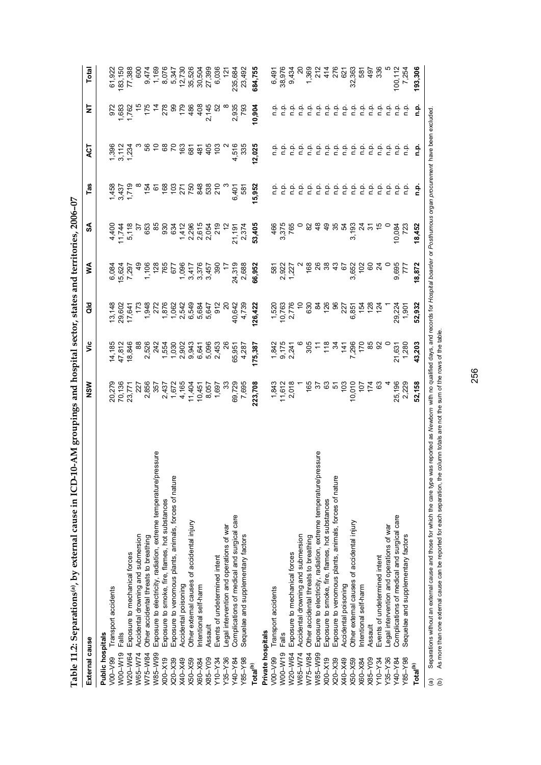| ļ                                                                      |
|------------------------------------------------------------------------|
|                                                                        |
|                                                                        |
|                                                                        |
|                                                                        |
|                                                                        |
|                                                                        |
|                                                                        |
|                                                                        |
|                                                                        |
|                                                                        |
|                                                                        |
|                                                                        |
|                                                                        |
|                                                                        |
|                                                                        |
|                                                                        |
|                                                                        |
|                                                                        |
|                                                                        |
|                                                                        |
|                                                                        |
|                                                                        |
|                                                                        |
|                                                                        |
|                                                                        |
|                                                                        |
|                                                                        |
|                                                                        |
|                                                                        |
|                                                                        |
|                                                                        |
|                                                                        |
|                                                                        |
|                                                                        |
| l                                                                      |
|                                                                        |
|                                                                        |
|                                                                        |
|                                                                        |
|                                                                        |
|                                                                        |
|                                                                        |
|                                                                        |
|                                                                        |
|                                                                        |
|                                                                        |
|                                                                        |
|                                                                        |
|                                                                        |
|                                                                        |
|                                                                        |
| しょうしゅうりょう ちゅう りょうしょうきょう                                                |
|                                                                        |
|                                                                        |
|                                                                        |
|                                                                        |
|                                                                        |
|                                                                        |
|                                                                        |
|                                                                        |
|                                                                        |
| ֧ׅ֧ׅ֧֧ׅ֧ׅ֧֧֧֧ׅ֧֧ׅ֧֧֧ׅ֧֧֚֚֚֚֚֚֚֚֚֚֚֚֚֚֚֚֚֚֚֚֚֚֚֚֚֬֜֜֓֝֜֓֜֓֝֓֝֓֜֝֬֜֝֬֜֝֬ |
| $\frac{1}{2}$                                                          |
|                                                                        |
|                                                                        |
|                                                                        |
|                                                                        |
|                                                                        |
|                                                                        |
|                                                                        |
|                                                                        |
|                                                                        |
|                                                                        |
|                                                                        |
|                                                                        |
|                                                                        |
|                                                                        |
|                                                                        |
|                                                                        |
|                                                                        |
|                                                                        |
|                                                                        |
|                                                                        |
| i<br>O                                                                 |
| ì                                                                      |
|                                                                        |
|                                                                        |
| į                                                                      |
| į                                                                      |
|                                                                        |
| l<br>ć                                                                 |
| I                                                                      |
|                                                                        |
| J                                                                      |
|                                                                        |
|                                                                        |
| ֚                                                                      |
|                                                                        |
| l                                                                      |
| ť                                                                      |
|                                                                        |

| 0-AM groupings and hospital sector, states and territories, 2006-07<br>Table 11.2: Separations <sup>(a)</sup> , by external cause in ICD-1                                                                                                                                                                                                                                                   |               |                |               |                 |                |            |                         |                 |                |
|----------------------------------------------------------------------------------------------------------------------------------------------------------------------------------------------------------------------------------------------------------------------------------------------------------------------------------------------------------------------------------------------|---------------|----------------|---------------|-----------------|----------------|------------|-------------------------|-----------------|----------------|
| External cause                                                                                                                                                                                                                                                                                                                                                                               | NSW           | ۊ              | ă             | ≸               | SA             | Tas        | <b>ACT</b>              | ₹               | Total          |
| Public hospitals                                                                                                                                                                                                                                                                                                                                                                             |               |                |               |                 |                |            |                         |                 |                |
| Transport accidents<br>V00-V99                                                                                                                                                                                                                                                                                                                                                               | 20,279        | 14,185         | 13,148        | 6,084           | 4,400          | 1,458      |                         | 972             | 61,922         |
| Falls<br>W00-W19                                                                                                                                                                                                                                                                                                                                                                             | 70,136        | 47,812         | 29,602        |                 | 11,744         | 3,437      |                         | 1,683           | 183,150        |
| Exposure to mechanical forces<br>W20-W64                                                                                                                                                                                                                                                                                                                                                     | 23,771        | 18,846         | 17,641        | 15,624<br>7,297 | 5,118          | 1,719      | 1,396<br>3,112<br>1,234 | 1,762           | 77,388         |
| Accidental drowning and submersion<br>W65-W74                                                                                                                                                                                                                                                                                                                                                | 227           | 88             | 173           | ඉ<br>අ          | $\approx$      |            |                         | $\frac{5}{3}$   | 600            |
| Other accidental threats to breathing<br>W75-W84                                                                                                                                                                                                                                                                                                                                             | 2,856         | 2,526          | 1,948         | 1,106           | 653            | 154        | 99                      | 175             | 9,474          |
| Exposure to electricity, radiation, extreme temperature/pressure<br>W85-W99                                                                                                                                                                                                                                                                                                                  | 357           | 242<br>1,554   | 272           | 128             | 55             | 61         |                         | $rac{4}{4}$     | 1,169          |
| Exposure to smoke, fire, flames, hot substances<br>K00-X19                                                                                                                                                                                                                                                                                                                                   | 2,437         |                | 1,876         | 765             | 930            | 168        | 68                      | 278             | 8,076          |
| Exposure to venomous plants, animals, forces of nature<br>X20-X39                                                                                                                                                                                                                                                                                                                            | 1,672         | 1,030          | 1,062         | 677             | 634            | 103        | 2                       | 8               | 5,347          |
| Accidental poisoning<br>K40-X49                                                                                                                                                                                                                                                                                                                                                              | 4,165         | 2,902          | 2,542         | 1,096           | 1,412          |            | 163                     | 179             | 12,730         |
| Other external causes of accidental injury<br>X50-X59                                                                                                                                                                                                                                                                                                                                        | 11,404        | 9,943          | 6,549         | 3,417           | 2,296          | 271<br>750 | 681                     | 486             | 35,526         |
| ntentional self-harm<br>X60-X84                                                                                                                                                                                                                                                                                                                                                              | 10,451        | 6,641          | 5,684         | 3,376           | 2,615          | 848        | 481                     | 408             | 30,504         |
| Assault<br>X85-Y09                                                                                                                                                                                                                                                                                                                                                                           | 8,057         | 5,096          | 5,647         | 3,457           | 2,054          | 538        | 405                     | 2,145           | 27,399         |
| Events of undetermined intent<br>Y10-Y34                                                                                                                                                                                                                                                                                                                                                     | 1,697         | 2,453          | $\frac{2}{9}$ | 390             | 219            | 210        | $\frac{2}{3}$           | $\mathcal{S}^2$ | 6,036          |
| Legal intervention and operations of war<br>Y35-Y36                                                                                                                                                                                                                                                                                                                                          | 33            | 8              | $\approx$     | 17              |                |            |                         |                 | $\frac{12}{1}$ |
| Complications of medical and surgical care<br>Y40-Y84                                                                                                                                                                                                                                                                                                                                        | 69,729        | 65,951         | 40,642        | 24,319          | 21,191         | 6,401      | 4,516                   | 2,935           | 235,684        |
| Sequelae and supplementary factors<br>Y85-Y98                                                                                                                                                                                                                                                                                                                                                | 7,695         | 4,287          | 4,739         | 2,688           | 2,374          | 581        | 335                     | 793             | 23,492         |
| Total <sup>(b)</sup>                                                                                                                                                                                                                                                                                                                                                                         | 223,708       | 175,387        | 126,422       | 66,952          | 53,405         | 15,952     | 12,025                  | 10,904          | 684,755        |
| Private hospitals                                                                                                                                                                                                                                                                                                                                                                            |               |                |               |                 |                |            |                         |                 |                |
| Transport accidents<br>V00-V99                                                                                                                                                                                                                                                                                                                                                               | 1,843         | 1,842          | 1,520         | 581             | 466            | ci         |                         | ءِ<br>ء         | 6,491          |
| Falls<br>W00-W19                                                                                                                                                                                                                                                                                                                                                                             | 11,612        | 9,175<br>2,241 | 10,763        | 2,922<br>1,227  | 3,375          | n.p        | ءِ<br>ء                 | ءِ<br>ء         | 38,976         |
| Exposure to mechanical forces<br>W20-W64                                                                                                                                                                                                                                                                                                                                                     | 2,018         |                | 2,776         |                 | 765            | ن<br>E     | ن<br>P                  | ف<br>ء          | 9,434          |
| Accidental drowning and submersion<br>W65-W74                                                                                                                                                                                                                                                                                                                                                |               |                | $\tilde{=}$   |                 |                |            |                         |                 | $\approx$      |
| Other accidental threats to breathing<br>W75-W84                                                                                                                                                                                                                                                                                                                                             | 165           | 305            | 630           | 168             | 82             | n.p.       | ن<br>م                  | n.p.            | 1,369          |
| Exposure to electricity, radiation, extreme temperature/pressure<br>W85-W99                                                                                                                                                                                                                                                                                                                  | 75            | Ξ              | æ             |                 | $\frac{8}{3}$  | n.p.       | ρ.                      | م<br>a          | 212            |
| Exposure to smoke, fire, flames, hot substances<br>$X00-X19$                                                                                                                                                                                                                                                                                                                                 | යි            | $\frac{8}{18}$ | 126           | 38              | $\frac{9}{4}$  | n.p.       | ن<br>P.P.               | n.p.            | 414            |
| Exposure to venomous plants, animals, forces of nature<br>X20-X39                                                                                                                                                                                                                                                                                                                            | 51            | ž              | 8             | $\frac{3}{4}$   | 35             | n.p.       | n.p.                    | ن<br>ء          | 276            |
| Accidental poisoning<br>K40-X49                                                                                                                                                                                                                                                                                                                                                              | $\frac{2}{3}$ | 141            | 227           | 57              | 54             | n.p.       | n.p.                    | ن<br>C          | 621            |
| Other external causes of accidental injury<br>$X50 - X59$                                                                                                                                                                                                                                                                                                                                    | 10,010        | 7,296          | 6,851         | 3,652           | 3,193          | n.p.       | n.p.                    | م<br>a          | 32,363         |
| ntentional self-harm<br>X60-X84                                                                                                                                                                                                                                                                                                                                                              | 107           | 170            | 154           | 102             | $\overline{2}$ | n.p.       | n.p.                    | م.<br>n         | 581            |
| Assault<br>$X85-Y09$                                                                                                                                                                                                                                                                                                                                                                         | 174           | 85             | 128           | 60              |                | n.p.       | n.p.                    | q.              | 497            |
| Events of undetermined intent<br>Y10-Y34                                                                                                                                                                                                                                                                                                                                                     | 63            | 8              | ź4            | $\mathbb{Z}$    | $\frac{5}{2}$  | n.p.       | ن<br>م                  | n.p.            | 336            |
| Legal intervention and operations of war<br>$Y35 - Y36$                                                                                                                                                                                                                                                                                                                                      |               |                |               |                 |                | ن<br>ء     | ن<br>ء                  | ف<br>ء          |                |
| Complications of medical and surgical care<br>Y40-Y84                                                                                                                                                                                                                                                                                                                                        | 25,196        | 21,631         | 29,224        | 9,695           | 10,084         | n.p.       | q.q                     | ن<br>ء          | 100,112        |
| Sequelae and supplementary factors<br>Y85-Y98                                                                                                                                                                                                                                                                                                                                                | 2,229         | 1,280          | 1,901         | 7Ti             | 723            | م<br>ء     |                         | ن<br>E          | 7,254          |
| Total <sup>(b)</sup>                                                                                                                                                                                                                                                                                                                                                                         | 52,158        | 43,203         | 52,932        | 18,872          | 18,452         | ءِ<br>ت    | ءِ<br>ت                 | <u>م</u><br>ء   | 193,306        |
| Separations without an external cause and those for which the care type was reported as Newborn with no qualified days, and records for Hospital boarder or Posthurnous organ procurement have been excluded.<br>As more than one external cause can be reported for each separation, the column totals are not the sum of the rows of the table.<br>$\widehat{\mathbf{e}}$<br>$\widehat{e}$ |               |                |               |                 |                |            |                         |                 |                |

256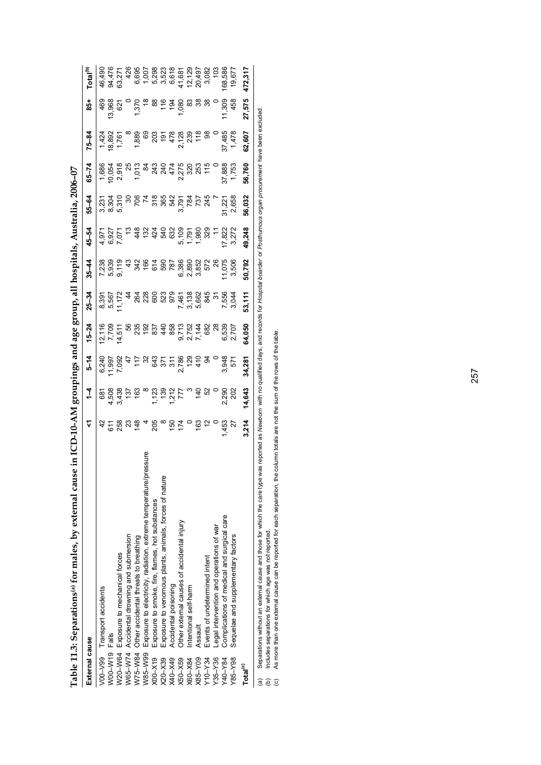| External cause                   |                                                                                                                                                                                                               | ᢑ                                         | $\frac{1}{4}$                                           | $5 - 14$     | $15 - 24$                                                                                                                          | $25 - 34$                | $35 - 44$ | 45-54            | 55-64  | $65 - 74$       | $75 - 84$                                              | $rac{1}{85}$    | Total <sup>(b)</sup> |
|----------------------------------|---------------------------------------------------------------------------------------------------------------------------------------------------------------------------------------------------------------|-------------------------------------------|---------------------------------------------------------|--------------|------------------------------------------------------------------------------------------------------------------------------------|--------------------------|-----------|------------------|--------|-----------------|--------------------------------------------------------|-----------------|----------------------|
|                                  | V00-V99 Transport accidents                                                                                                                                                                                   | 42                                        |                                                         |              |                                                                                                                                    |                          |           |                  |        |                 |                                                        | 469             | 46,490               |
| W00-W19 Falls                    |                                                                                                                                                                                                               |                                           |                                                         |              |                                                                                                                                    |                          |           |                  |        |                 |                                                        |                 | 94,476               |
| <b>N20-W64</b>                   | Exposure to mechanical forces                                                                                                                                                                                 |                                           |                                                         |              |                                                                                                                                    | 8,391<br>5,567<br>11,172 |           |                  |        |                 | $\begin{array}{c} 1,424 \\ 8,892 \\ 1,761 \end{array}$ | 13,968<br>621   |                      |
|                                  | N65-W74 Accidental drowning and submersion                                                                                                                                                                    |                                           |                                                         |              |                                                                                                                                    | $\frac{4}{4}$            |           |                  |        |                 |                                                        |                 |                      |
| W75-W84                          | Other accidental threats to breathing                                                                                                                                                                         | 5833                                      | 681<br>4,508<br>4,538<br>163<br>163                     |              |                                                                                                                                    |                          |           |                  |        |                 |                                                        |                 |                      |
| W85-W99                          | Exposure to electricity, radiation, extreme temperature/pressure                                                                                                                                              |                                           |                                                         |              |                                                                                                                                    |                          |           |                  |        |                 |                                                        | $-5.7688988888$ |                      |
| $X00-X19$                        | Exposure to smoke, fire, flames, hot substances                                                                                                                                                               | 488                                       | $1, 23$<br>$1, 23$<br>$1, 21$<br>$1, 7$<br>$1, 7$       |              |                                                                                                                                    |                          |           |                  |        |                 |                                                        |                 |                      |
| X20-X39                          | Exposure to venomous plants, animals, forces of nature                                                                                                                                                        |                                           |                                                         |              |                                                                                                                                    |                          |           |                  |        |                 |                                                        |                 |                      |
| X40-X49                          | Accidental poisoning                                                                                                                                                                                          |                                           |                                                         |              |                                                                                                                                    |                          |           |                  |        |                 |                                                        |                 |                      |
| X50-X59                          | Other external causes of accidental injury                                                                                                                                                                    | $\frac{1}{2}$ $\frac{1}{2}$ $\frac{1}{2}$ |                                                         |              |                                                                                                                                    |                          |           |                  |        |                 |                                                        |                 |                      |
| X60-X84                          | ntentional self-harm                                                                                                                                                                                          |                                           | ್ ಕ್ಲಬ                                                  |              |                                                                                                                                    |                          |           |                  |        |                 |                                                        |                 |                      |
| X85-Y09                          | Assault                                                                                                                                                                                                       | 163                                       |                                                         |              |                                                                                                                                    |                          |           |                  |        |                 |                                                        |                 |                      |
| Y10-Y34                          | Events of undetermined intent                                                                                                                                                                                 |                                           |                                                         |              |                                                                                                                                    |                          |           |                  |        |                 |                                                        |                 |                      |
| $Y35 - Y36$                      | -egal intervention and operations of war                                                                                                                                                                      |                                           |                                                         |              |                                                                                                                                    |                          |           | $\frac{1}{\tau}$ | Ĭ,     |                 |                                                        |                 | 103                  |
| Y40-Y84                          | Complications of medical and surgical care                                                                                                                                                                    | 1,453                                     | 2,290                                                   | 3,948<br>571 |                                                                                                                                    |                          | 11,075    |                  | 31,221 |                 |                                                        | 11,309          | 68,586               |
| Y85-Y98                          | Sequelae and supplementary factors                                                                                                                                                                            | 27                                        | 202                                                     |              | 6,539<br>2,707                                                                                                                     | 7,556<br>3,044           | 3,506     | 17,822<br>3,272  | 2,658  | 37,888<br>1,753 | 37,485<br>1,478                                        | 458             | 19,677               |
| Total <sup>(c)</sup>             |                                                                                                                                                                                                               | 3,214                                     | 14,643                                                  | 34,281       | 64,050                                                                                                                             | 53,111                   | 50,792    | 49,248           | 56,032 | 56,760          | 62,607                                                 | 27,575          | 472,317              |
| @<br>$\widehat{\mathbf{c}}$<br>ê | Separations without an external cause and those for which the care type w<br>As more than one external cause can be reported for each separation, the<br>Includes separations for which age was not reported. |                                           | column totals are not the sum of the rows of the table. |              | as reported as Newborn with no qualified days, and records for Hospital boarder or Posthumous organ procurement have been excluded |                          |           |                  |        |                 |                                                        |                 |                      |
|                                  |                                                                                                                                                                                                               |                                           |                                                         |              |                                                                                                                                    |                          |           |                  |        |                 |                                                        |                 |                      |

Table 11.3: Separations<sup>(a)</sup> for males, by external cause in ICD-10-AM groupings and age group, all hospitals, Australia, 2006-07 **Table 11.3: Separations(a) for males, by external cause in ICD-10-AM groupings and age group, all hospitals, Australia, 2006–07**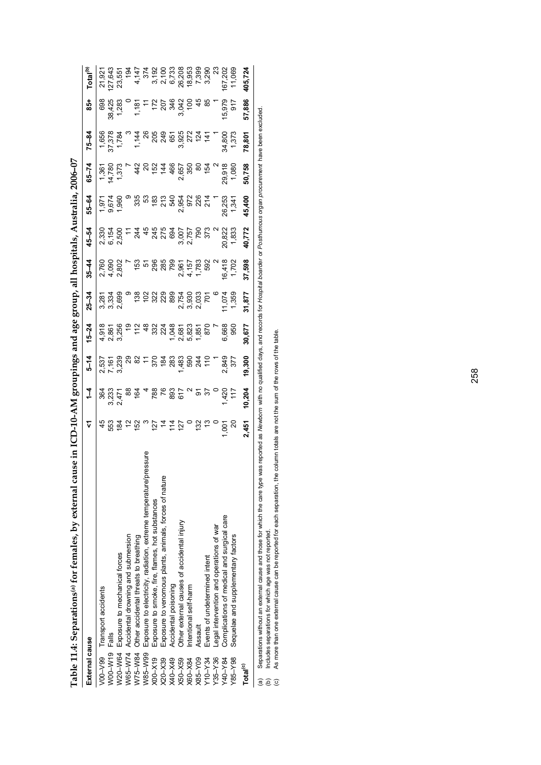| Exposure to electricity, radiation, extreme temperature/pressure                                                                    |                                           |                                    |                         |                                     |                         |        |                 | 55-64                                                                                   |                                                                         | $75 - 84$                                                                                                                                                                                                                                                                                                                        | $\frac{1}{8}$                                                                                                    | Total <sup>(b)</sup>                                                                                                                              |
|-------------------------------------------------------------------------------------------------------------------------------------|-------------------------------------------|------------------------------------|-------------------------|-------------------------------------|-------------------------|--------|-----------------|-----------------------------------------------------------------------------------------|-------------------------------------------------------------------------|----------------------------------------------------------------------------------------------------------------------------------------------------------------------------------------------------------------------------------------------------------------------------------------------------------------------------------|------------------------------------------------------------------------------------------------------------------|---------------------------------------------------------------------------------------------------------------------------------------------------|
|                                                                                                                                     |                                           |                                    |                         |                                     |                         |        |                 |                                                                                         |                                                                         |                                                                                                                                                                                                                                                                                                                                  | 698                                                                                                              | 21,921                                                                                                                                            |
|                                                                                                                                     |                                           |                                    |                         |                                     |                         |        |                 |                                                                                         |                                                                         |                                                                                                                                                                                                                                                                                                                                  |                                                                                                                  | 127,643                                                                                                                                           |
|                                                                                                                                     |                                           |                                    | 2,537<br>2,239<br>3,239 |                                     | 3,281<br>3,338<br>2,699 |        |                 | $7.971$<br>$9.674$<br>$1.960$                                                           |                                                                         |                                                                                                                                                                                                                                                                                                                                  |                                                                                                                  | 23,551                                                                                                                                            |
|                                                                                                                                     |                                           |                                    |                         |                                     |                         |        |                 |                                                                                         |                                                                         |                                                                                                                                                                                                                                                                                                                                  |                                                                                                                  |                                                                                                                                                   |
|                                                                                                                                     |                                           | និង 2<br>ខ្លួប = និង<br>កំពុង      |                         |                                     |                         |        |                 |                                                                                         |                                                                         |                                                                                                                                                                                                                                                                                                                                  |                                                                                                                  |                                                                                                                                                   |
|                                                                                                                                     | $\infty$                                  |                                    |                         |                                     |                         |        |                 |                                                                                         |                                                                         |                                                                                                                                                                                                                                                                                                                                  |                                                                                                                  |                                                                                                                                                   |
| Exposure to smoke, fire, flames, hot substances                                                                                     |                                           |                                    |                         |                                     |                         |        |                 |                                                                                         |                                                                         |                                                                                                                                                                                                                                                                                                                                  |                                                                                                                  |                                                                                                                                                   |
| Exposure to venomous plants, animals, forces of nature                                                                              |                                           |                                    |                         |                                     |                         |        |                 |                                                                                         |                                                                         |                                                                                                                                                                                                                                                                                                                                  |                                                                                                                  |                                                                                                                                                   |
|                                                                                                                                     |                                           |                                    |                         |                                     |                         |        |                 |                                                                                         |                                                                         |                                                                                                                                                                                                                                                                                                                                  |                                                                                                                  |                                                                                                                                                   |
| Other external causes of accidental injury                                                                                          |                                           |                                    |                         |                                     |                         |        |                 |                                                                                         |                                                                         |                                                                                                                                                                                                                                                                                                                                  |                                                                                                                  |                                                                                                                                                   |
|                                                                                                                                     |                                           |                                    |                         |                                     |                         |        |                 |                                                                                         |                                                                         |                                                                                                                                                                                                                                                                                                                                  |                                                                                                                  | 18,953                                                                                                                                            |
|                                                                                                                                     |                                           |                                    |                         |                                     |                         |        |                 |                                                                                         |                                                                         |                                                                                                                                                                                                                                                                                                                                  |                                                                                                                  |                                                                                                                                                   |
|                                                                                                                                     |                                           |                                    |                         |                                     |                         |        |                 |                                                                                         |                                                                         |                                                                                                                                                                                                                                                                                                                                  |                                                                                                                  | 7,399<br>3,290                                                                                                                                    |
|                                                                                                                                     |                                           |                                    |                         |                                     |                         |        |                 |                                                                                         |                                                                         |                                                                                                                                                                                                                                                                                                                                  |                                                                                                                  | $\mathbb{S}^2$                                                                                                                                    |
| Complications of medical and surgical care                                                                                          |                                           |                                    | 2,849                   |                                     |                         |        |                 |                                                                                         |                                                                         |                                                                                                                                                                                                                                                                                                                                  | 15,979                                                                                                           | 167,202                                                                                                                                           |
|                                                                                                                                     | g                                         |                                    | 377                     | 95                                  | 1,359                   |        | 1,833           | 1,341                                                                                   |                                                                         | 1,373                                                                                                                                                                                                                                                                                                                            | $\frac{2}{9}$                                                                                                    | 11,069                                                                                                                                            |
|                                                                                                                                     | 2,451                                     | 10,204                             | 19,300                  | 30,677                              | 31,877                  | 37,598 | 40,772          | 45,400                                                                                  | 50,758                                                                  | 78,801                                                                                                                                                                                                                                                                                                                           | 57,886                                                                                                           | 405,724                                                                                                                                           |
| Separations without an external cause and those for which the care type w                                                           |                                           |                                    |                         |                                     |                         |        |                 |                                                                                         |                                                                         |                                                                                                                                                                                                                                                                                                                                  |                                                                                                                  |                                                                                                                                                   |
| column totals are not the sum of the rows of the table.<br>As more than one external cause can be reported for each separation, the | ロュロロ<br>$\circ$<br>$\frac{5}{2}$<br>1,001 | $788.8595$ $783.5$<br>1,420<br>117 |                         | <u>ង ឌុ 는 ៃ ទី ឌី ឌី ឌី ឌី មី ភ</u> | 6,668                   | 11,074 | 16,418<br>1,702 | v e v<br>8 2 2 4 4<br>8 2 8 5 4 4<br>245<br>2763<br>3757<br>373<br>373<br>373<br>20,822 | ల జో బ్ల<br>ន្ទ 3 3 3 3 3 3<br>កំពុង ១ 3 3 3 4<br>ស្ថិត ស្ថិត<br>26,253 | 29,918<br>1,080<br>$\begin{array}{l} 1.41 \\ 2.23 \\ 2.54 \\ 2.55 \\ 2.56 \\ 2.57 \\ 2.57 \\ 2.58 \\ 2.59 \\ 2.59 \\ 2.59 \\ 2.59 \\ 2.59 \\ 2.59 \\ 2.59 \\ 2.59 \\ 2.59 \\ 2.59 \\ 2.59 \\ 2.59 \\ 2.59 \\ 2.59 \\ 2.59 \\ 2.59 \\ 2.59 \\ 2.59 \\ 2.59 \\ 2.59 \\ 2.59 \\ 2.59 \\ 2.59 \\ 2.59 \\ 2.59 \\ 2.59 \\ 2.59 \\ 2.$ | ន្ធខ្លួន ។ មុន ខ្លួន ក្នុង មុ <u>ត</u><br>បន្ទាំង ១ មុន ខ្លួន ក្នុង មុន<br>ក្នុង ១ មុន ខ្លួន ក្នុង មុន<br>34,800 | $rac{4}{8}$<br>as reported as Newborn with no qualified days, and records for Hospital boarder or Posthumous organ procurement have been excluded |

Table 11.4: Separations(a) for females, by external cause in ICD-10-AM groupings and age group, all hospitals, Australia, 2006-07 **Table 11.4: Separations(a) for females, by external cause in ICD-10-AM groupings and age group, all hospitals, Australia, 2006–07**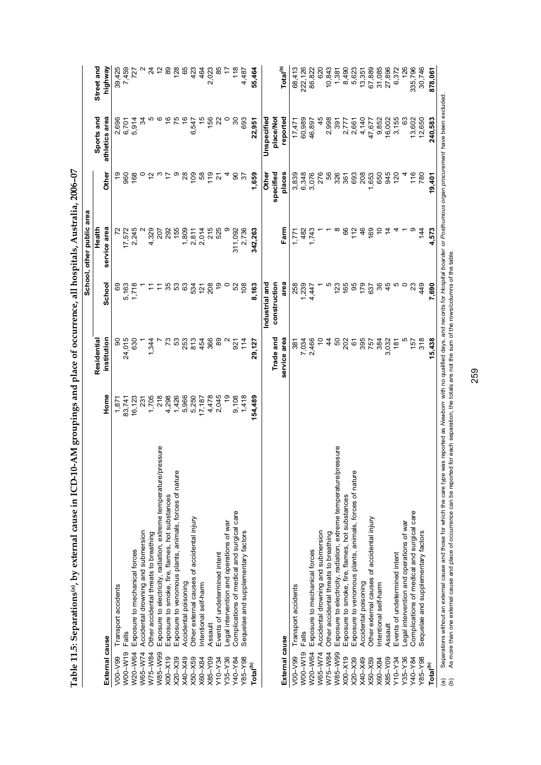|                | Table 11.5: Separations <sup>(a)</sup> , by external cause in ICD-10-AM groupings and place of occurrence, all hospitals, Australia, 2006-07 |                      |               |                |                           |                |                |                   |
|----------------|----------------------------------------------------------------------------------------------------------------------------------------------|----------------------|---------------|----------------|---------------------------|----------------|----------------|-------------------|
|                |                                                                                                                                              |                      |               |                | School, other public area |                |                |                   |
|                |                                                                                                                                              |                      | Residential   |                | Health                    |                | Sports and     | Street and        |
| External cause |                                                                                                                                              | Home                 | institution   | School         | service area              | <b>Other</b>   | athletics area | highway           |
|                | V00-V99 Transport accidents                                                                                                                  | 1,87                 | 8             | 69             |                           |                | 2,696          | 39,425            |
| W00-W19        | Falls                                                                                                                                        | 83,741               | 24,015        |                |                           | 960            | 6,701          |                   |
|                | W20-W64 Exposure to mechanical forces                                                                                                        | 16,123               | 630           | 5,163<br>1,718 | I7,572<br>2,245           | 168            | 5,914          |                   |
|                | W65-W74 Accidental drowning and submersion                                                                                                   |                      |               |                |                           |                | 34             | 7,459<br>727<br>2 |
| W75-W84        | Other accidental threats to breathing                                                                                                        | 231<br>1,705         | 1,344         |                | 4,329                     |                |                | $\approx$         |
| W85-W99        | Exposure to electricity, radiation, extreme temperature/pressure                                                                             | 218                  |               |                | 207                       |                |                | $\tilde{c}$       |
| $X00-X19$      | Exposure to smoke, fire, flames, hot substances                                                                                              |                      | ٣,            | 35             | 292                       |                |                | 89                |
| $X20 - X39$    | Exposure to venomous plants, animals, forces of nature                                                                                       | 4,298<br>1,426       | 53            | 53             | 155                       |                |                | $128$<br>65       |
| K40-X49        | Accidental poisoning                                                                                                                         |                      |               | 63             |                           | $\frac{8}{2}$  |                |                   |
| $X50 - X59$    | Other external causes of accidental injury                                                                                                   | 5,966<br>5,250       | 253<br>813    | 534<br>121     | $7,809$<br>2,811<br>2,014 | $\overline{0}$ | 6,547          | 423<br>464        |
| X60-X84        | Intentional self-harm                                                                                                                        | 17,187               | 454           |                |                           | 58             |                |                   |
| $X85 - Y09$    | Assault                                                                                                                                      | 4,478                | 366           | 208            | 215                       | $\frac{9}{1}$  | 156            |                   |
| $Y10-Y34$      | Events of undetermined intent                                                                                                                | 2,045                | 89            |                | 525                       |                |                |                   |
| $Y35 - Y36$    | Legal intervention and operations of war                                                                                                     |                      |               |                |                           |                |                |                   |
| Y40-Y84        | Complications of medical and surgical care                                                                                                   | 19<br>9,108<br>1,418 | 921           |                | 311,092                   |                |                |                   |
| $Y85 - Y98$    | Sequelae and supplementary factors                                                                                                           |                      | $\frac{4}{1}$ | $\frac{80}{2}$ | 2,736                     |                | 693            | 4,487             |

| Total <sup>(b)</sup>                                                                                                                                                                                                                                                                              | 154,489 | 29,127       | 8,163                                                                             | 342.263        | 1,659         | 22,951         | 55,464               |
|---------------------------------------------------------------------------------------------------------------------------------------------------------------------------------------------------------------------------------------------------------------------------------------------------|---------|--------------|-----------------------------------------------------------------------------------|----------------|---------------|----------------|----------------------|
|                                                                                                                                                                                                                                                                                                   |         |              | Industrial and                                                                    |                | <b>Other</b>  | Unspecified    |                      |
|                                                                                                                                                                                                                                                                                                   |         | Trade and    | construction                                                                      |                | specified     | place/Not      | Total <sup>(b)</sup> |
| External cause                                                                                                                                                                                                                                                                                    |         | service area | area                                                                              | Farm           | places        | reported       |                      |
| Transport accidents<br>$V00-V99$                                                                                                                                                                                                                                                                  |         | 381          | 258                                                                               | 171            | 3,839         | 17,471         | 68,413               |
| Falls<br>W00-W19                                                                                                                                                                                                                                                                                  |         | 7,034        | ,239                                                                              | 482            | 6,348         | 60,989         | 222,126              |
| Exposure to mechanical forces<br>W20-W64                                                                                                                                                                                                                                                          |         | 2,466        | 4,47                                                                              | 1,743          | 3,076         | 46,897         | 86,822               |
| Accidental drowning and submersion<br>W65-W74                                                                                                                                                                                                                                                     |         | S            |                                                                                   |                | 276           | $\frac{45}{5}$ | 620                  |
| Other accidental threats to breathing<br>W75-W84                                                                                                                                                                                                                                                  |         | 4            |                                                                                   |                | 56            | 2,998          | 10,843               |
| ssure<br>Exposure to electricity, radiation, extreme temperature/pre<br>W85-W99                                                                                                                                                                                                                   |         | SO           | 123                                                                               |                | 326           | 39'            | 1,381                |
| Exposure to smoke, fire, flames, hot substances<br>$X00-X19$                                                                                                                                                                                                                                      |         | 202          | 165                                                                               | င္ပ            | 361           | 2,777          | 8,490                |
| Exposure to venomous plants, animals, forces of nature<br>$X20 - X39$                                                                                                                                                                                                                             |         | 6            | 95                                                                                | 112            | 693           | 2,661          | 5,623                |
| Accidental poisoning<br>K40-X49                                                                                                                                                                                                                                                                   |         | 395          | 179                                                                               | 46             | 208           | 4,140          | 13,351               |
| Other external causes of accidental injury<br>$X50 - X59$                                                                                                                                                                                                                                         |         | 757          | 637                                                                               | 169            | 653           | 47,677         | 67,889               |
| Intentional self-harm<br>X60-X84                                                                                                                                                                                                                                                                  |         | 384          | ని                                                                                |                | 650           | 9,852          | 31,085               |
| Assault<br>$X85 - Y09$                                                                                                                                                                                                                                                                            |         | 3,032        | 45                                                                                | $\overline{4}$ | 945           | 16,002         | 27,896               |
| Events of undetermined intent<br>Y10-Y34                                                                                                                                                                                                                                                          |         | <u>ig</u>    | ம                                                                                 |                | $\frac{5}{2}$ | 3,155          | 6,372                |
| Legal intervention and operations of war<br>Y35-Y36                                                                                                                                                                                                                                               |         |              |                                                                                   |                |               | යි             | $^{126}$             |
| Complications of medical and surgical care<br>Y40-Y84                                                                                                                                                                                                                                             |         | 157          | 23                                                                                |                | 116           | 13,602         | 335,796              |
| Sequelae and supplementary factors<br>Y85-Y98                                                                                                                                                                                                                                                     |         | 318          | 49                                                                                | 144            | 780           | 12,650         | 30,746               |
| Total <sup>(b)</sup>                                                                                                                                                                                                                                                                              |         | 15,438       | 7,690                                                                             | 4,573          | 19,401        | 240,583        | 878,061              |
| Separations without an external cause and those for which the care type was reported as Newborn with no qualified days, and records for Hospital boarder or Posthurnous organ procurement have been excluded<br>As more than one external cause and place of occurrence can be reported<br>ô<br>ම |         |              | for each separation, the totals are not the sum of the rows/columns of the table. |                |               |                |                      |

259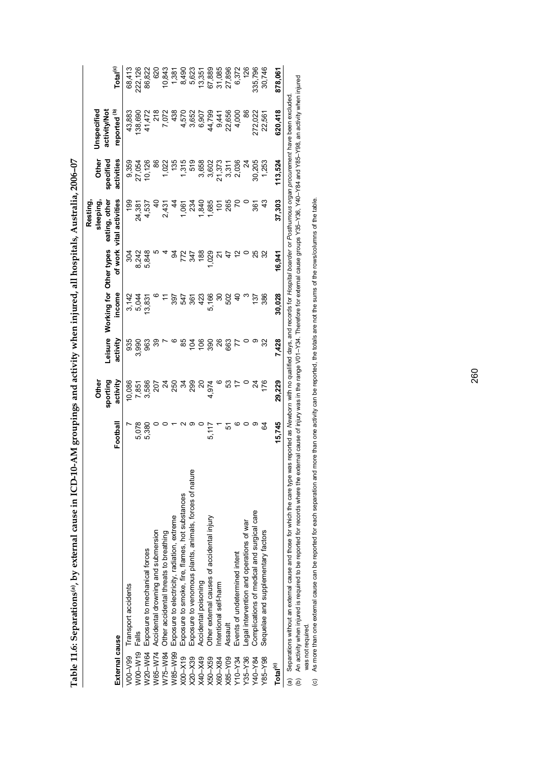Table 11.6: Separations<sup>(a)</sup>, by external cause in ICD-10-AM groupings and activity when injured, all hospitals, Australia, 2006-07 **Table 11.6: Separations(a), by external cause in ICD-10-AM groupings and activity when injured, all hospitals, Australia, 2006–07** 

|                                                           |                                                                                                                                                                                                                  |          | <b>Othe</b>          |          |                                           |        | Resting<br>sleeping                       | Other                   | Unspecified                             |                      |
|-----------------------------------------------------------|------------------------------------------------------------------------------------------------------------------------------------------------------------------------------------------------------------------|----------|----------------------|----------|-------------------------------------------|--------|-------------------------------------------|-------------------------|-----------------------------------------|----------------------|
| External cause                                            |                                                                                                                                                                                                                  | Football | sporting<br>activity | activity | Leisure Working for Other types<br>income |        | of work vital activities<br>eating, other | specified<br>activities | reported <sup>(b)</sup><br>activity/Not | Total <sup>(c)</sup> |
| Transport accidents<br>$V00-V99$                          |                                                                                                                                                                                                                  |          | 10,086               | 935      |                                           | 304    | $\frac{6}{2}$                             | 9,359                   | 43,883                                  | 68,413               |
| Falls<br>W00-W19                                          |                                                                                                                                                                                                                  | 5,078    | 7,851                | 3,990    | 3,142<br>5,044                            | 8,242  | 24,381                                    | 27,054                  | 138,690                                 | 222,126              |
| W20-W64 Exposure to mechanical forces                     |                                                                                                                                                                                                                  | 5,380    | 3,586                | 963      | 13,831                                    | 5,848  | 4,537                                     | 10,126                  | 41,472                                  | 86,822               |
| Accidental drowning and submersion<br>W65-W74             |                                                                                                                                                                                                                  |          | 207                  |          |                                           |        | $\triangleq$                              | 8                       | $\frac{8}{2}$                           | 620                  |
| Other accidental threats to breathing<br>W75-W84          |                                                                                                                                                                                                                  |          | শ্ৰ                  |          |                                           |        | 2,431                                     | 1,022                   | 7,072                                   | 10,843               |
| Exposure to electricity, radiation, extreme<br>W85-W99    |                                                                                                                                                                                                                  |          | 250                  |          | 397                                       | ठ्ठ    |                                           | ë                       | 438                                     | 1,381                |
| $X00-X19$                                                 | Exposure to smoke, fire, flames, hot substances                                                                                                                                                                  |          | z                    | အ        | 547                                       | 772    | $-0.0$                                    | 1,315                   | 4,570                                   | 8,490                |
| $X20 - X39$                                               | Exposure to venomous plants, animals, forces of nature                                                                                                                                                           |          | 299                  | 104      | 361                                       | 347    | 234                                       | 519                     | 3,652                                   | 5,623                |
| Accidental poisoning<br>X40-X49                           |                                                                                                                                                                                                                  |          | g                    | 106      | 423                                       | 188    | 9q                                        | 3,658                   | 6,907                                   | 13,351               |
| Other external causes of accidental injury<br>$X50 - X59$ |                                                                                                                                                                                                                  | 5,117    | 4,974                | 390      | 5,166                                     | 0.029  | ,685                                      | 3,602                   | 44,799                                  | 67,889               |
| ntentional self-harm<br>X60-X84                           |                                                                                                                                                                                                                  |          |                      | 26       | వ్                                        |        | š                                         | 21,373                  | 9,441                                   | 31,085               |
| Assault<br>$X85-Y09$                                      |                                                                                                                                                                                                                  | 5        | S3                   | 663      | 502                                       |        | 265                                       | 3,311                   | 22,656                                  | 27,896               |
| Events of undetermined intent<br>Y10-Y34                  |                                                                                                                                                                                                                  |          |                      |          |                                           | 2      |                                           | 2,036                   | 4,000                                   | 6,372                |
| egal intervention and operations of war<br>$Y35 - Y36$    |                                                                                                                                                                                                                  |          |                      |          |                                           |        |                                           | $\frac{4}{3}$           | 86                                      | 126                  |
| Complications of medical and surgical care<br>Y40-Y84     |                                                                                                                                                                                                                  |          | শ্ৰ                  |          | 137                                       | 25     | $\overline{36}$ 1                         | 30,205                  | 272,022                                 | 335,796              |
| Sequelae and supplementary factors<br>Y85-Y98             |                                                                                                                                                                                                                  | S,       | 176                  | 32       | 386                                       |        |                                           | 1,253                   | 22,561                                  | 30,746               |
| Total <sup>(c)</sup>                                      |                                                                                                                                                                                                                  | 15,745   | 29,229               | 7.428    | 30,028                                    | 16,941 | 37,303                                    | 113,524                 | 620,418                                 | 878,061              |
|                                                           | (a) Separations without an external cause and those for which the care type was reported as Newborn with no qualified days, and records for Hospital boarder or Posthurnous organ procurement have been excluded |          |                      |          |                                           |        |                                           |                         |                                         |                      |

(b) An activity when injured is required to be reported for records where the external cause in the range V01–Y34. Therefore for external cause groups Y35–Y36, Y40–Y84 and Y85–Y98, an activity when injured<br>was not require (b) An activity when injured is required to be reported for records where the external cause of injury was in the range V01–Y34. Therefore for external cause groups Y35–Y36, Y40–Y84 and Y85–Y98, an activity when injured was not required.

(c) As more than one external cause can be reported for each separation and more than one activity can be reported, the totals are not the sums of the rows/columns of the table.